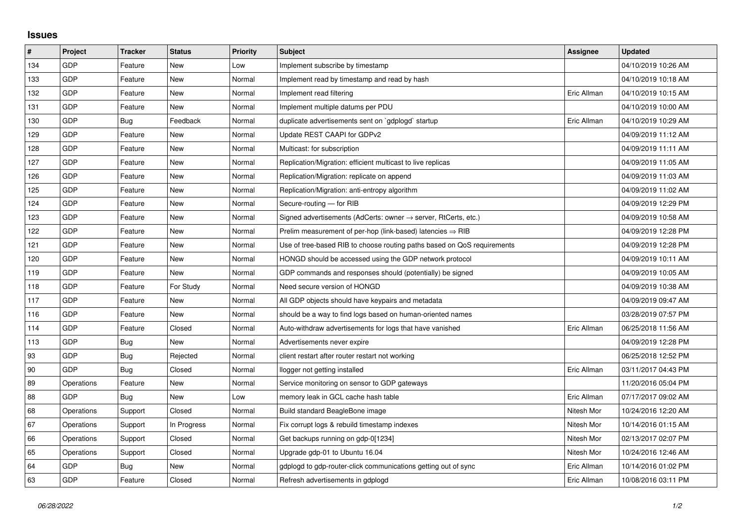## **Issues**

| #   | Project    | <b>Tracker</b> | <b>Status</b> | <b>Priority</b> | <b>Subject</b>                                                             | <b>Assignee</b> | <b>Updated</b>      |
|-----|------------|----------------|---------------|-----------------|----------------------------------------------------------------------------|-----------------|---------------------|
| 134 | GDP        | Feature        | <b>New</b>    | Low             | Implement subscribe by timestamp                                           |                 | 04/10/2019 10:26 AM |
| 133 | GDP        | Feature        | New           | Normal          | Implement read by timestamp and read by hash                               |                 | 04/10/2019 10:18 AM |
| 132 | GDP        | Feature        | New           | Normal          | Implement read filtering                                                   | Eric Allman     | 04/10/2019 10:15 AM |
| 131 | GDP        | Feature        | <b>New</b>    | Normal          | Implement multiple datums per PDU                                          |                 | 04/10/2019 10:00 AM |
| 130 | GDP        | Bug            | Feedback      | Normal          | duplicate advertisements sent on `gdplogd` startup                         | Eric Allman     | 04/10/2019 10:29 AM |
| 129 | GDP        | Feature        | New           | Normal          | Update REST CAAPI for GDPv2                                                |                 | 04/09/2019 11:12 AM |
| 128 | GDP        | Feature        | New           | Normal          | Multicast: for subscription                                                |                 | 04/09/2019 11:11 AM |
| 127 | GDP        | Feature        | <b>New</b>    | Normal          | Replication/Migration: efficient multicast to live replicas                |                 | 04/09/2019 11:05 AM |
| 126 | <b>GDP</b> | Feature        | New           | Normal          | Replication/Migration: replicate on append                                 |                 | 04/09/2019 11:03 AM |
| 125 | GDP        | Feature        | <b>New</b>    | Normal          | Replication/Migration: anti-entropy algorithm                              |                 | 04/09/2019 11:02 AM |
| 124 | GDP        | Feature        | <b>New</b>    | Normal          | Secure-routing - for RIB                                                   |                 | 04/09/2019 12:29 PM |
| 123 | GDP        | Feature        | New           | Normal          | Signed advertisements (AdCerts: owner $\rightarrow$ server, RtCerts, etc.) |                 | 04/09/2019 10:58 AM |
| 122 | GDP        | Feature        | <b>New</b>    | Normal          | Prelim measurement of per-hop (link-based) latencies $\Rightarrow$ RIB     |                 | 04/09/2019 12:28 PM |
| 121 | GDP        | Feature        | New           | Normal          | Use of tree-based RIB to choose routing paths based on QoS requirements    |                 | 04/09/2019 12:28 PM |
| 120 | GDP        | Feature        | New           | Normal          | HONGD should be accessed using the GDP network protocol                    |                 | 04/09/2019 10:11 AM |
| 119 | GDP        | Feature        | <b>New</b>    | Normal          | GDP commands and responses should (potentially) be signed                  |                 | 04/09/2019 10:05 AM |
| 118 | GDP        | Feature        | For Study     | Normal          | Need secure version of HONGD                                               |                 | 04/09/2019 10:38 AM |
| 117 | GDP        | Feature        | New           | Normal          | All GDP objects should have keypairs and metadata                          |                 | 04/09/2019 09:47 AM |
| 116 | GDP        | Feature        | <b>New</b>    | Normal          | should be a way to find logs based on human-oriented names                 |                 | 03/28/2019 07:57 PM |
| 114 | GDP        | Feature        | Closed        | Normal          | Auto-withdraw advertisements for logs that have vanished                   | Eric Allman     | 06/25/2018 11:56 AM |
| 113 | GDP        | Bug            | New           | Normal          | Advertisements never expire                                                |                 | 04/09/2019 12:28 PM |
| 93  | GDP        | <b>Bug</b>     | Rejected      | Normal          | client restart after router restart not working                            |                 | 06/25/2018 12:52 PM |
| 90  | GDP        | Bug            | Closed        | Normal          | llogger not getting installed                                              | Eric Allman     | 03/11/2017 04:43 PM |
| 89  | Operations | Feature        | New           | Normal          | Service monitoring on sensor to GDP gateways                               |                 | 11/20/2016 05:04 PM |
| 88  | GDP        | Bug            | <b>New</b>    | Low             | memory leak in GCL cache hash table                                        | Eric Allman     | 07/17/2017 09:02 AM |
| 68  | Operations | Support        | Closed        | Normal          | Build standard BeagleBone image                                            | Nitesh Mor      | 10/24/2016 12:20 AM |
| 67  | Operations | Support        | In Progress   | Normal          | Fix corrupt logs & rebuild timestamp indexes                               | Nitesh Mor      | 10/14/2016 01:15 AM |
| 66  | Operations | Support        | Closed        | Normal          | Get backups running on gdp-0[1234]                                         | Nitesh Mor      | 02/13/2017 02:07 PM |
| 65  | Operations | Support        | Closed        | Normal          | Upgrade gdp-01 to Ubuntu 16.04                                             | Nitesh Mor      | 10/24/2016 12:46 AM |
| 64  | GDP        | Bug            | New           | Normal          | gdplogd to gdp-router-click communications getting out of sync             | Eric Allman     | 10/14/2016 01:02 PM |
| 63  | GDP        | Feature        | Closed        | Normal          | Refresh advertisements in gdplogd                                          | Eric Allman     | 10/08/2016 03:11 PM |